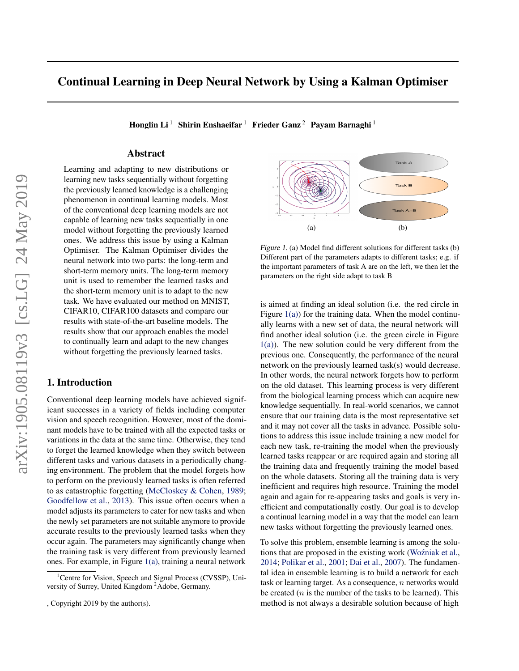# <span id="page-0-0"></span>Continual Learning in Deep Neural Network by Using a Kalman Optimiser

Honglin Li<sup>1</sup> Shirin Enshaeifar<sup>1</sup> Frieder Ganz<sup>2</sup> Payam Barnaghi<sup>1</sup>

# Abstract

Learning and adapting to new distributions or learning new tasks sequentially without forgetting the previously learned knowledge is a challenging phenomenon in continual learning models. Most of the conventional deep learning models are not capable of learning new tasks sequentially in one model without forgetting the previously learned ones. We address this issue by using a Kalman Optimiser. The Kalman Optimiser divides the neural network into two parts: the long-term and short-term memory units. The long-term memory unit is used to remember the learned tasks and the short-term memory unit is to adapt to the new task. We have evaluated our method on MNIST, CIFAR10, CIFAR100 datasets and compare our results with state-of-the-art baseline models. The results show that our approach enables the model to continually learn and adapt to the new changes without forgetting the previously learned tasks.

# 1. Introduction

Conventional deep learning models have achieved significant successes in a variety of fields including computer vision and speech recognition. However, most of the dominant models have to be trained with all the expected tasks or variations in the data at the same time. Otherwise, they tend to forget the learned knowledge when they switch between different tasks and various datasets in a periodically changing environment. The problem that the model forgets how to perform on the previously learned tasks is often referred to as catastrophic forgetting [\(McCloskey & Cohen,](#page-4-0) [1989;](#page-4-0) [Goodfellow et al.,](#page-4-0) [2013\)](#page-4-0). This issue often occurs when a model adjusts its parameters to cater for new tasks and when the newly set parameters are not suitable anymore to provide accurate results to the previously learned tasks when they occur again. The parameters may significantly change when the training task is very different from previously learned ones. For example, in Figure 1(a), training a neural network



Figure 1. (a) Model find different solutions for different tasks (b) Different part of the parameters adapts to different tasks; e.g. if the important parameters of task A are on the left, we then let the parameters on the right side adapt to task B

is aimed at finding an ideal solution (i.e. the red circle in Figure  $1(a)$ ) for the training data. When the model continually learns with a new set of data, the neural network will find another ideal solution (i.e. the green circle in Figure 1(a)). The new solution could be very different from the previous one. Consequently, the performance of the neural network on the previously learned task(s) would decrease. In other words, the neural network forgets how to perform on the old dataset. This learning process is very different from the biological learning process which can acquire new knowledge sequentially. In real-world scenarios, we cannot ensure that our training data is the most representative set and it may not cover all the tasks in advance. Possible solutions to address this issue include training a new model for each new task, re-training the model when the previously learned tasks reappear or are required again and storing all the training data and frequently training the model based on the whole datasets. Storing all the training data is very inefficient and requires high resource. Training the model again and again for re-appearing tasks and goals is very inefficient and computationally costly. Our goal is to develop a continual learning model in a way that the model can learn new tasks without forgetting the previously learned ones.

To solve this problem, ensemble learning is among the solu-tions that are proposed in the existing work [\(Wozniak et al.](#page-4-0), [2014;](#page-4-0) [Polikar et al.,](#page-4-0) [2001;](#page-4-0) [Dai et al.,](#page-4-0) [2007\)](#page-4-0). The fundamental idea in ensemble learning is to build a network for each task or learning target. As a consequence,  $n$  networks would be created  $(n$  is the number of the tasks to be learned). This method is not always a desirable solution because of high

<sup>&</sup>lt;sup>1</sup>Centre for Vision, Speech and Signal Process (CVSSP), University of Surrey, United Kingdom <sup>2</sup>Adobe, Germany.

<sup>,</sup> Copyright 2019 by the author(s).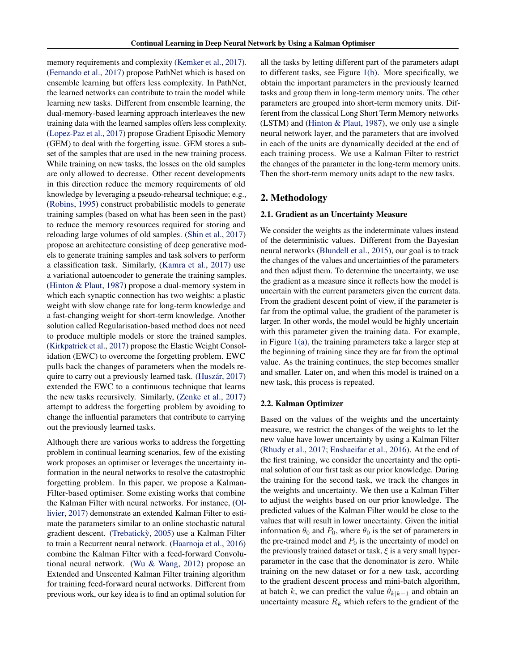memory requirements and complexity [\(Kemker et al.,](#page-4-0) [2017\)](#page-4-0). [\(Fernando et al.,](#page-4-0) [2017\)](#page-4-0) propose PathNet which is based on ensemble learning but offers less complexity. In PathNet, the learned networks can contribute to train the model while learning new tasks. Different from ensemble learning, the dual-memory-based learning approach interleaves the new training data with the learned samples offers less complexity. [\(Lopez-Paz et al.,](#page-4-0) [2017\)](#page-4-0) propose Gradient Episodic Memory (GEM) to deal with the forgetting issue. GEM stores a subset of the samples that are used in the new training process. While training on new tasks, the losses on the old samples are only allowed to decrease. Other recent developments in this direction reduce the memory requirements of old knowledge by leveraging a pseudo-rehearsal technique; e.g., [\(Robins,](#page-4-0) [1995\)](#page-4-0) construct probabilistic models to generate training samples (based on what has been seen in the past) to reduce the memory resources required for storing and reloading large volumes of old samples. [\(Shin et al.,](#page-4-0) [2017\)](#page-4-0) propose an architecture consisting of deep generative models to generate training samples and task solvers to perform a classification task. Similarly, [\(Kamra et al.,](#page-4-0) [2017\)](#page-4-0) use a variational autoencoder to generate the training samples. [\(Hinton & Plaut,](#page-4-0) [1987\)](#page-4-0) propose a dual-memory system in which each synaptic connection has two weights: a plastic weight with slow change rate for long-term knowledge and a fast-changing weight for short-term knowledge. Another solution called Regularisation-based method does not need to produce multiple models or store the trained samples. [\(Kirkpatrick et al.,](#page-4-0) [2017\)](#page-4-0) propose the Elastic Weight Consolidation (EWC) to overcome the forgetting problem. EWC pulls back the changes of parameters when the models re-quire to carry out a previously learned task. (Huszár, [2017\)](#page-4-0) extended the EWC to a continuous technique that learns the new tasks recursively. Similarly, [\(Zenke et al.,](#page-5-0) [2017\)](#page-5-0) attempt to address the forgetting problem by avoiding to change the influential parameters that contribute to carrying out the previously learned tasks.

Although there are various works to address the forgetting problem in continual learning scenarios, few of the existing work proposes an optimiser or leverages the uncertainty information in the neural networks to resolve the catastrophic forgetting problem. In this paper, we propose a Kalman-Filter-based optimiser. Some existing works that combine the Kalman Filter with neural networks. For instance, [\(Ol](#page-4-0)[livier,](#page-4-0) [2017\)](#page-4-0) demonstrate an extended Kalman Filter to estimate the parameters similar to an online stochastic natural gradient descent. (Trebaticky, [2005\)](#page-4-0) use a Kalman Filter to train a Recurrent neural network. [\(Haarnoja et al.,](#page-4-0) [2016\)](#page-4-0) combine the Kalman Filter with a feed-forward Convolutional neural network. [\(Wu & Wang,](#page-4-0) [2012\)](#page-4-0) propose an Extended and Unscented Kalman Filter training algorithm for training feed-forward neural networks. Different from previous work, our key idea is to find an optimal solution for

all the tasks by letting different part of the parameters adapt to different tasks, see Figure [1\(b\).](#page-0-0) More specifically, we obtain the important parameters in the previously learned tasks and group them in long-term memory units. The other parameters are grouped into short-term memory units. Different from the classical Long Short Term Memory networks (LSTM) and [\(Hinton & Plaut,](#page-4-0) [1987\)](#page-4-0), we only use a single neural network layer, and the parameters that are involved in each of the units are dynamically decided at the end of each training process. We use a Kalman Filter to restrict the changes of the parameter in the long-term memory units. Then the short-term memory units adapt to the new tasks.

# 2. Methodology

#### 2.1. Gradient as an Uncertainty Measure

We consider the weights as the indeterminate values instead of the deterministic values. Different from the Bayesian neural networks [\(Blundell et al.,](#page-4-0) [2015\)](#page-4-0), our goal is to track the changes of the values and uncertainties of the parameters and then adjust them. To determine the uncertainty, we use the gradient as a measure since it reflects how the model is uncertain with the current parameters given the current data. From the gradient descent point of view, if the parameter is far from the optimal value, the gradient of the parameter is larger. In other words, the model would be highly uncertain with this parameter given the training data. For example, in Figure [1\(a\),](#page-0-0) the training parameters take a larger step at the beginning of training since they are far from the optimal value. As the training continues, the step becomes smaller and smaller. Later on, and when this model is trained on a new task, this process is repeated.

### 2.2. Kalman Optimizer

Based on the values of the weights and the uncertainty measure, we restrict the changes of the weights to let the new value have lower uncertainty by using a Kalman Filter [\(Rhudy et al.,](#page-4-0) [2017;](#page-4-0) [Enshaeifar et al.,](#page-4-0) [2016\)](#page-4-0). At the end of the first training, we consider the uncertainty and the optimal solution of our first task as our prior knowledge. During the training for the second task, we track the changes in the weights and uncertainty. We then use a Kalman Filter to adjust the weights based on our prior knowledge. The predicted values of the Kalman Filter would be close to the values that will result in lower uncertainty. Given the initial information  $\theta_0$  and  $P_0$ , where  $\theta_0$  is the set of parameters in the pre-trained model and  $P_0$  is the uncertainty of model on the previously trained dataset or task,  $\xi$  is a very small hyperparameter in the case that the denominator is zero. While training on the new dataset or for a new task, according to the gradient descent process and mini-batch algorithm, at batch k, we can predict the value  $\theta_{k|k-1}$  and obtain an uncertainty measure  $R_k$  which refers to the gradient of the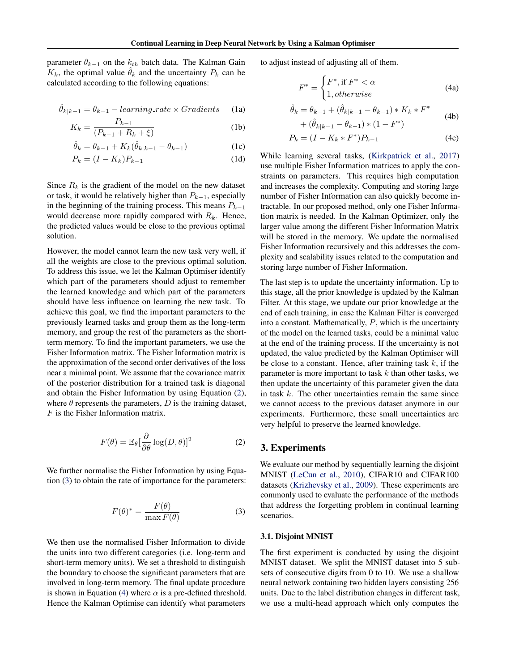parameter  $\theta_{k-1}$  on the  $k_{th}$  batch data. The Kalman Gain  $K_k$ , the optimal value  $\theta_k$  and the uncertainty  $P_k$  can be calculated according to the following equations:

$$
\hat{\theta}_{k|k-1} = \theta_{k-1} - learning\_rate \times Gradients \qquad (1a)
$$

$$
K_k = \frac{P_{k-1}}{(P_{k-1} + R_k + \xi)}
$$
 (1b)

$$
\hat{\theta}_k = \theta_{k-1} + K_k(\hat{\theta}_{k|k-1} - \theta_{k-1})
$$
\n(1c)

$$
P_k = (I - K_k)P_{k-1} \tag{1d}
$$

Since  $R_k$  is the gradient of the model on the new dataset or task, it would be relatively higher than  $P_{k-1}$ , especially in the beginning of the training process. This means  $P_{k-1}$ would decrease more rapidly compared with  $R_k$ . Hence, the predicted values would be close to the previous optimal solution.

However, the model cannot learn the new task very well, if all the weights are close to the previous optimal solution. To address this issue, we let the Kalman Optimiser identify which part of the parameters should adjust to remember the learned knowledge and which part of the parameters should have less influence on learning the new task. To achieve this goal, we find the important parameters to the previously learned tasks and group them as the long-term memory, and group the rest of the parameters as the shortterm memory. To find the important parameters, we use the Fisher Information matrix. The Fisher Information matrix is the approximation of the second order derivatives of the loss near a minimal point. We assume that the covariance matrix of the posterior distribution for a trained task is diagonal and obtain the Fisher Information by using Equation (2), where  $\theta$  represents the parameters,  $D$  is the training dataset,  $F$  is the Fisher Information matrix.

$$
F(\theta) = \mathbb{E}_{\theta} \left[ \frac{\partial}{\partial \theta} \log(D, \theta) \right]^2 \tag{2}
$$

We further normalise the Fisher Information by using Equation (3) to obtain the rate of importance for the parameters:

$$
F(\theta)^* = \frac{F(\theta)}{\max F(\theta)}\tag{3}
$$

We then use the normalised Fisher Information to divide the units into two different categories (i.e. long-term and short-term memory units). We set a threshold to distinguish the boundary to choose the significant parameters that are involved in long-term memory. The final update procedure is shown in Equation (4) where  $\alpha$  is a pre-defined threshold. Hence the Kalman Optimise can identify what parameters

to adjust instead of adjusting all of them.

$$
F^* = \begin{cases} F^*, \text{if } F^* < \alpha \\ 1, otherwise \end{cases} \tag{4a}
$$

$$
\hat{\theta}_k = \theta_{k-1} + (\hat{\theta}_{k|k-1} - \theta_{k-1}) * K_k * F^*
$$
\n(4b)

$$
+ (\hat{\theta}_{k|k-1} - \theta_{k-1}) * (1 - F^*) \tag{40}
$$

$$
P_k = (I - K_k * F^*)P_{k-1}
$$
 (4c)

While learning several tasks, [\(Kirkpatrick et al.,](#page-4-0) [2017\)](#page-4-0) use multiple Fisher Information matrices to apply the constraints on parameters. This requires high computation and increases the complexity. Computing and storing large number of Fisher Information can also quickly become intractable. In our proposed method, only one Fisher Information matrix is needed. In the Kalman Optimizer, only the larger value among the different Fisher Information Matrix will be stored in the memory. We update the normalised Fisher Information recursively and this addresses the complexity and scalability issues related to the computation and storing large number of Fisher Information.

The last step is to update the uncertainty information. Up to this stage, all the prior knowledge is updated by the Kalman Filter. At this stage, we update our prior knowledge at the end of each training, in case the Kalman Filter is converged into a constant. Mathematically,  $P$ , which is the uncertainty of the model on the learned tasks, could be a minimal value at the end of the training process. If the uncertainty is not updated, the value predicted by the Kalman Optimiser will be close to a constant. Hence, after training task  $k$ , if the parameter is more important to task  $k$  than other tasks, we then update the uncertainty of this parameter given the data in task  $k$ . The other uncertainties remain the same since we cannot access to the previous dataset anymore in our experiments. Furthermore, these small uncertainties are very helpful to preserve the learned knowledge.

## 3. Experiments

We evaluate our method by sequentially learning the disjoint MNIST [\(LeCun et al.,](#page-4-0) [2010\)](#page-4-0), CIFAR10 and CIFAR100 datasets [\(Krizhevsky et al.,](#page-4-0) [2009\)](#page-4-0). These experiments are commonly used to evaluate the performance of the methods that address the forgetting problem in continual learning scenarios.

#### 3.1. Disjoint MNIST

The first experiment is conducted by using the disjoint MNIST dataset. We split the MNIST dataset into 5 subsets of consecutive digits from 0 to 10. We use a shallow neural network containing two hidden layers consisting 256 units. Due to the label distribution changes in different task, we use a multi-head approach which only computes the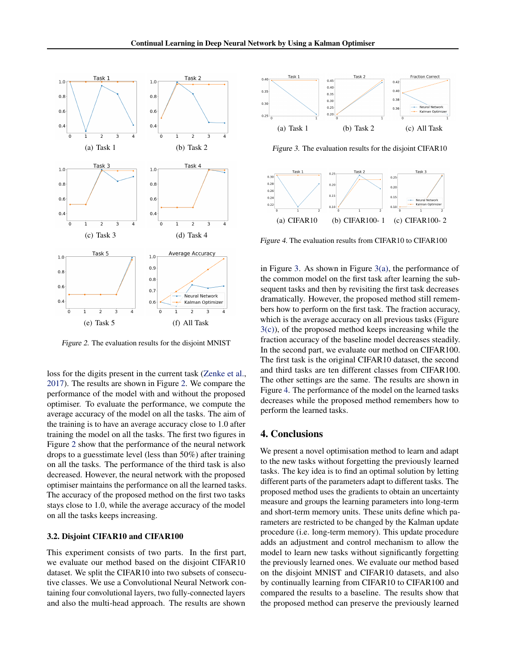

Figure 2. The evaluation results for the disjoint MNIST

loss for the digits present in the current task [\(Zenke et al.,](#page-5-0) [2017\)](#page-5-0). The results are shown in Figure 2. We compare the performance of the model with and without the proposed optimiser. To evaluate the performance, we compute the average accuracy of the model on all the tasks. The aim of the training is to have an average accuracy close to 1.0 after training the model on all the tasks. The first two figures in Figure 2 show that the performance of the neural network drops to a guesstimate level (less than 50%) after training on all the tasks. The performance of the third task is also decreased. However, the neural network with the proposed optimiser maintains the performance on all the learned tasks. The accuracy of the proposed method on the first two tasks stays close to 1.0, while the average accuracy of the model on all the tasks keeps increasing.

#### 3.2. Disjoint CIFAR10 and CIFAR100

This experiment consists of two parts. In the first part, we evaluate our method based on the disjoint CIFAR10 dataset. We split the CIFAR10 into two subsets of consecutive classes. We use a Convolutional Neural Network containing four convolutional layers, two fully-connected layers and also the multi-head approach. The results are shown



Figure 3. The evaluation results for the disjoint CIFAR10



Figure 4. The evaluation results from CIFAR10 to CIFAR100

in Figure 3. As shown in Figure  $3(a)$ , the performance of the common model on the first task after learning the subsequent tasks and then by revisiting the first task decreases dramatically. However, the proposed method still remembers how to perform on the first task. The fraction accuracy, which is the average accuracy on all previous tasks (Figure 3(c)), of the proposed method keeps increasing while the fraction accuracy of the baseline model decreases steadily. In the second part, we evaluate our method on CIFAR100. The first task is the original CIFAR10 dataset, the second and third tasks are ten different classes from CIFAR100. The other settings are the same. The results are shown in Figure 4. The performance of the model on the learned tasks decreases while the proposed method remembers how to perform the learned tasks.

## 4. Conclusions

We present a novel optimisation method to learn and adapt to the new tasks without forgetting the previously learned tasks. The key idea is to find an optimal solution by letting different parts of the parameters adapt to different tasks. The proposed method uses the gradients to obtain an uncertainty measure and groups the learning parameters into long-term and short-term memory units. These units define which parameters are restricted to be changed by the Kalman update procedure (i.e. long-term memory). This update procedure adds an adjustment and control mechanism to allow the model to learn new tasks without significantly forgetting the previously learned ones. We evaluate our method based on the disjoint MNIST and CIFAR10 datasets, and also by continually learning from CIFAR10 to CIFAR100 and compared the results to a baseline. The results show that the proposed method can preserve the previously learned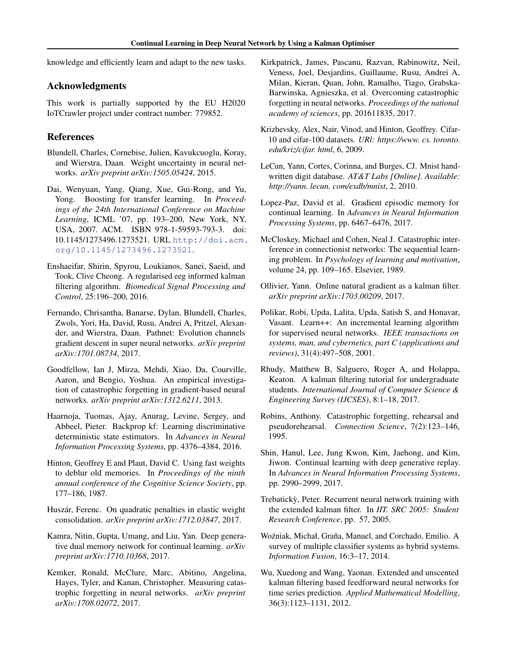<span id="page-4-0"></span>knowledge and efficiently learn and adapt to the new tasks.

## Acknowledgments

This work is partially supported by the EU H2020 IoTCrawler project under contract number: 779852.

# References

- Blundell, Charles, Cornebise, Julien, Kavukcuoglu, Koray, and Wierstra, Daan. Weight uncertainty in neural networks. *arXiv preprint arXiv:1505.05424*, 2015.
- Dai, Wenyuan, Yang, Qiang, Xue, Gui-Rong, and Yu, Yong. Boosting for transfer learning. In *Proceedings of the 24th International Conference on Machine Learning*, ICML '07, pp. 193–200, New York, NY, USA, 2007. ACM. ISBN 978-1-59593-793-3. doi: 10.1145/1273496.1273521. URL [http://doi.acm.](http://doi.acm.org/10.1145/1273496.1273521) [org/10.1145/1273496.1273521](http://doi.acm.org/10.1145/1273496.1273521).
- Enshaeifar, Shirin, Spyrou, Loukianos, Sanei, Saeid, and Took, Clive Cheong. A regularised eeg informed kalman filtering algorithm. *Biomedical Signal Processing and Control*, 25:196–200, 2016.
- Fernando, Chrisantha, Banarse, Dylan, Blundell, Charles, Zwols, Yori, Ha, David, Rusu, Andrei A, Pritzel, Alexander, and Wierstra, Daan. Pathnet: Evolution channels gradient descent in super neural networks. *arXiv preprint arXiv:1701.08734*, 2017.
- Goodfellow, Ian J, Mirza, Mehdi, Xiao, Da, Courville, Aaron, and Bengio, Yoshua. An empirical investigation of catastrophic forgetting in gradient-based neural networks. *arXiv preprint arXiv:1312.6211*, 2013.
- Haarnoja, Tuomas, Ajay, Anurag, Levine, Sergey, and Abbeel, Pieter. Backprop kf: Learning discriminative deterministic state estimators. In *Advances in Neural Information Processing Systems*, pp. 4376–4384, 2016.
- Hinton, Geoffrey E and Plaut, David C. Using fast weights to deblur old memories. In *Proceedings of the ninth annual conference of the Cognitive Science Society*, pp. 177–186, 1987.
- Huszár, Ferenc. On quadratic penalties in elastic weight consolidation. *arXiv preprint arXiv:1712.03847*, 2017.
- Kamra, Nitin, Gupta, Umang, and Liu, Yan. Deep generative dual memory network for continual learning. *arXiv preprint arXiv:1710.10368*, 2017.
- Kemker, Ronald, McClure, Marc, Abitino, Angelina, Hayes, Tyler, and Kanan, Christopher. Measuring catastrophic forgetting in neural networks. *arXiv preprint arXiv:1708.02072*, 2017.
- Kirkpatrick, James, Pascanu, Razvan, Rabinowitz, Neil, Veness, Joel, Desjardins, Guillaume, Rusu, Andrei A, Milan, Kieran, Quan, John, Ramalho, Tiago, Grabska-Barwinska, Agnieszka, et al. Overcoming catastrophic forgetting in neural networks. *Proceedings of the national academy of sciences*, pp. 201611835, 2017.
- Krizhevsky, Alex, Nair, Vinod, and Hinton, Geoffrey. Cifar-10 and cifar-100 datasets. *URl: https://www. cs. toronto. edu/kriz/cifar. html*, 6, 2009.
- LeCun, Yann, Cortes, Corinna, and Burges, CJ. Mnist handwritten digit database. *AT&T Labs [Online]. Available: http://yann. lecun. com/exdb/mnist*, 2, 2010.
- Lopez-Paz, David et al. Gradient episodic memory for continual learning. In *Advances in Neural Information Processing Systems*, pp. 6467–6476, 2017.
- McCloskey, Michael and Cohen, Neal J. Catastrophic interference in connectionist networks: The sequential learning problem. In *Psychology of learning and motivation*, volume 24, pp. 109–165. Elsevier, 1989.
- Ollivier, Yann. Online natural gradient as a kalman filter. *arXiv preprint arXiv:1703.00209*, 2017.
- Polikar, Robi, Upda, Lalita, Upda, Satish S, and Honavar, Vasant. Learn++: An incremental learning algorithm for supervised neural networks. *IEEE transactions on systems, man, and cybernetics, part C (applications and reviews)*, 31(4):497–508, 2001.
- Rhudy, Matthew B, Salguero, Roger A, and Holappa, Keaton. A kalman filtering tutorial for undergraduate students. *International Journal of Computer Science & Engineering Survey (IJCSES)*, 8:1–18, 2017.
- Robins, Anthony. Catastrophic forgetting, rehearsal and pseudorehearsal. *Connection Science*, 7(2):123–146, 1995.
- Shin, Hanul, Lee, Jung Kwon, Kim, Jaehong, and Kim, Jiwon. Continual learning with deep generative replay. In *Advances in Neural Information Processing Systems*, pp. 2990–2999, 2017.
- Trebaticky, Peter. Recurrent neural network training with ` the extended kalman filter. In *IIT. SRC 2005: Student Research Conference*, pp. 57, 2005.
- Woźniak, Michał, Graña, Manuel, and Corchado, Emilio. A survey of multiple classifier systems as hybrid systems. *Information Fusion*, 16:3–17, 2014.
- Wu, Xuedong and Wang, Yaonan. Extended and unscented kalman filtering based feedforward neural networks for time series prediction. *Applied Mathematical Modelling*, 36(3):1123–1131, 2012.